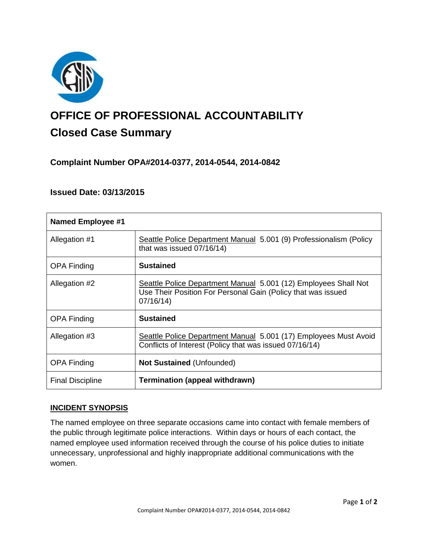

# **OFFICE OF PROFESSIONAL ACCOUNTABILITY Closed Case Summary**

# **Complaint Number OPA#2014-0377, 2014-0544, 2014-0842**

# **Issued Date: 03/13/2015**

| <b>Named Employee #1</b> |                                                                                                                                             |
|--------------------------|---------------------------------------------------------------------------------------------------------------------------------------------|
| Allegation #1            | Seattle Police Department Manual 5.001 (9) Professionalism (Policy<br>that was issued 07/16/14)                                             |
| <b>OPA Finding</b>       | <b>Sustained</b>                                                                                                                            |
| Allegation #2            | Seattle Police Department Manual 5.001 (12) Employees Shall Not<br>Use Their Position For Personal Gain (Policy that was issued<br>07/16/14 |
| <b>OPA Finding</b>       | <b>Sustained</b>                                                                                                                            |
| Allegation #3            | Seattle Police Department Manual 5.001 (17) Employees Must Avoid<br>Conflicts of Interest (Policy that was issued 07/16/14)                 |
| <b>OPA Finding</b>       | <b>Not Sustained (Unfounded)</b>                                                                                                            |
| <b>Final Discipline</b>  | Termination (appeal withdrawn)                                                                                                              |

# **INCIDENT SYNOPSIS**

The named employee on three separate occasions came into contact with female members of the public through legitimate police interactions. Within days or hours of each contact, the named employee used information received through the course of his police duties to initiate unnecessary, unprofessional and highly inappropriate additional communications with the women.